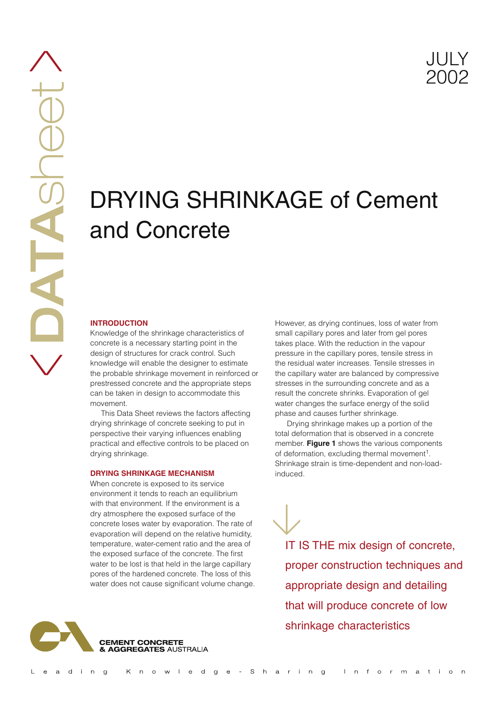july 2002

# DRYING SHRINKAGE of Cement and Concrete

# **Introduction**

DATA<sub>Sheet</sub>

ATAShee

 $\bigwedge$ 

 $\bigvee$ 

Knowledge of the shrinkage characteristics of concrete is a necessary starting point in the design of structures for crack control. Such knowledge will enable the designer to estimate the probable shrinkage movement in reinforced or prestressed concrete and the appropriate steps can be taken in design to accommodate this movement.

This Data Sheet reviews the factors affecting drying shrinkage of concrete seeking to put in perspective their varying influences enabling practical and effective controls to be placed on drying shrinkage.

# **drying Shrinkage MechaniSM**

When concrete is exposed to its service environment it tends to reach an equilibrium with that environment. If the environment is a dry atmosphere the exposed surface of the concrete loses water by evaporation. The rate of evaporation will depend on the relative humidity, temperature, water-cement ratio and the area of the exposed surface of the concrete. The first water to be lost is that held in the large capillary pores of the hardened concrete. The loss of this water does not cause significant volume change. However, as drying continues, loss of water from small capillary pores and later from gel pores takes place. With the reduction in the vapour pressure in the capillary pores, tensile stress in the residual water increases. Tensile stresses in the capillary water are balanced by compressive stresses in the surrounding concrete and as a result the concrete shrinks. Evaporation of gel water changes the surface energy of the solid phase and causes further shrinkage.

Drying shrinkage makes up a portion of the total deformation that is observed in a concrete member. **Figure 1** shows the various components of deformation, excluding thermal movement<sup>1</sup>. Shrinkage strain is time-dependent and non-loadinduced.

IT IS THE mix design of concrete, proper construction techniques and appropriate design and detailing that will produce concrete of low shrinkage characteristics  $\bigvee$ 

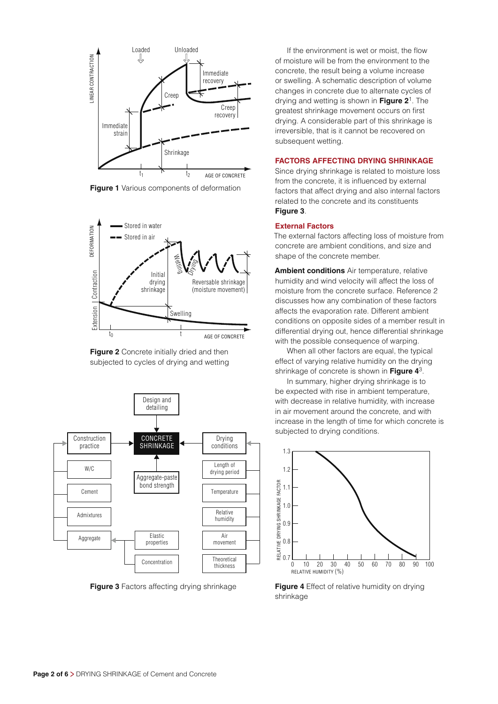

**Figure 1** Various components of deformation



**Figure 2** Concrete initially dried and then subjected to cycles of drying and wetting



**Figure 3** Factors affecting drying shrinkage

If the environment is wet or moist, the flow of moisture will be from the environment to the concrete, the result being a volume increase or swelling. A schematic description of volume changes in concrete due to alternate cycles of drying and wetting is shown in **Figure 2**1. The greatest shrinkage movement occurs on first drying. A considerable part of this shrinkage is irreversible, that is it cannot be recovered on subsequent wetting.

# **FactorS aFFecting drying Shrinkage**

Since drying shrinkage is related to moisture loss from the concrete, it is influenced by external factors that affect drying and also internal factors related to the concrete and its constituents **Figure 3**.

## **External Factors**

The external factors affecting loss of moisture from concrete are ambient conditions, and size and shape of the concrete member.

**Ambient conditions** Air temperature, relative humidity and wind velocity will affect the loss of moisture from the concrete surface. Reference 2 discusses how any combination of these factors affects the evaporation rate. Different ambient conditions on opposite sides of a member result in differential drying out, hence differential shrinkage with the possible consequence of warping.

When all other factors are equal, the typical effect of varying relative humidity on the drying shrinkage of concrete is shown in **Figure 4**3.

In summary, higher drying shrinkage is to be expected with rise in ambient temperature, with decrease in relative humidity, with increase in air movement around the concrete, and with increase in the length of time for which concrete is subjected to drying conditions.



**Figure 4** Effect of relative humidity on drying shrinkage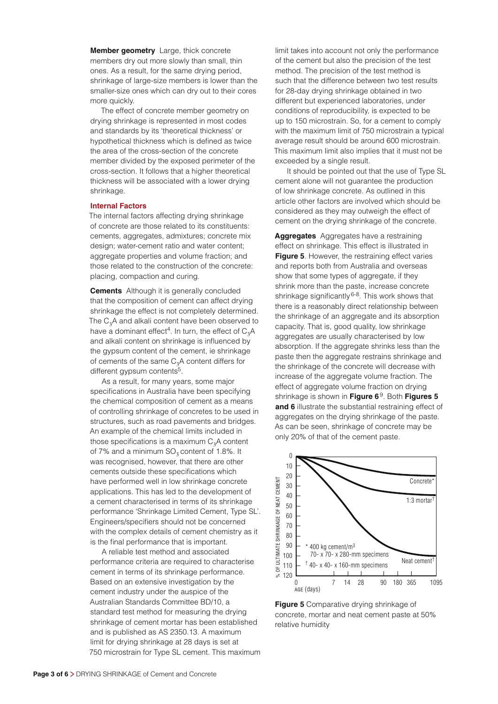**Member geometry** Large, thick concrete members dry out more slowly than small, thin ones. As a result, for the same drying period, shrinkage of large-size members is lower than the smaller-size ones which can dry out to their cores more quickly.

The effect of concrete member geometry on drying shrinkage is represented in most codes and standards by its 'theoretical thickness' or hypothetical thickness which is defined as twice the area of the cross-section of the concrete member divided by the exposed perimeter of the cross-section. It follows that a higher theoretical thickness will be associated with a lower drying shrinkage.

#### **Internal Factors**

The internal factors affecting drying shrinkage of concrete are those related to its constituents: cements, aggregates, admixtures; concrete mix design; water-cement ratio and water content; aggregate properties and volume fraction; and those related to the construction of the concrete: placing, compaction and curing.

**Cements** Although it is generally concluded that the composition of cement can affect drying shrinkage the effect is not completely determined. The  $C<sub>3</sub>A$  and alkali content have been observed to have a dominant effect<sup>4</sup>. In turn, the effect of  $C_2A$ and alkali content on shrinkage is influenced by the gypsum content of the cement, ie shrinkage of cements of the same  $C<sub>3</sub>A$  content differs for different gypsum contents<sup>5</sup>.

As a result, for many years, some major specifications in Australia have been specifying the chemical composition of cement as a means of controlling shrinkage of concretes to be used in structures, such as road pavements and bridges. An example of the chemical limits included in those specifications is a maximum  $C<sub>3</sub>A$  content of 7% and a minimum  $SO<sub>3</sub>$  content of 1.8%. It was recognised, however, that there are other cements outside these specifications which have performed well in low shrinkage concrete applications. This has led to the development of a cement characterised in terms of its shrinkage performance 'Shrinkage Limited Cement, Type SL'. Engineers/specifiers should not be concerned with the complex details of cement chemistry as it is the final performance that is important.

A reliable test method and associated performance criteria are required to characterise cement in terms of its shrinkage performance. Based on an extensive investigation by the cement industry under the auspice of the Australian Standards Committee BD/10, a standard test method for measuring the drying shrinkage of cement mortar has been established and is published as AS 2350.13. A maximum limit for drying shrinkage at 28 days is set at 750 microstrain for Type SL cement. This maximum

limit takes into account not only the performance of the cement but also the precision of the test method. The precision of the test method is such that the difference between two test results for 28-day drying shrinkage obtained in two different but experienced laboratories, under conditions of reproducibility, is expected to be up to 150 microstrain. So, for a cement to comply with the maximum limit of 750 microstrain a typical average result should be around 600 microstrain. This maximum limit also implies that it must not be exceeded by a single result.

It should be pointed out that the use of Type SL cement alone will not guarantee the production of low shrinkage concrete. As outlined in this article other factors are involved which should be considered as they may outweigh the effect of cement on the drying shrinkage of the concrete.

**Aggregates** Aggregates have a restraining effect on shrinkage. This effect is illustrated in **Figure 5**. However, the restraining effect varies and reports both from Australia and overseas show that some types of aggregate, if they shrink more than the paste, increase concrete shrinkage significantly <sup>6-8</sup>. This work shows that there is a reasonably direct relationship between the shrinkage of an aggregate and its absorption capacity. That is, good quality, low shrinkage aggregates are usually characterised by low absorption. If the aggregate shrinks less than the paste then the aggregate restrains shrinkage and the shrinkage of the concrete will decrease with increase of the aggregate volume fraction. The effect of aggregate volume fraction on drying shrinkage is shown in **Figure 6**9. Both **Figures 5 and 6** illustrate the substantial restraining effect of aggregates on the drying shrinkage of the paste. As can be seen, shrinkage of concrete may be only 20% of that of the cement paste.



**Figure 5** Comparative drying shrinkage of concrete, mortar and neat cement paste at 50% relative humidity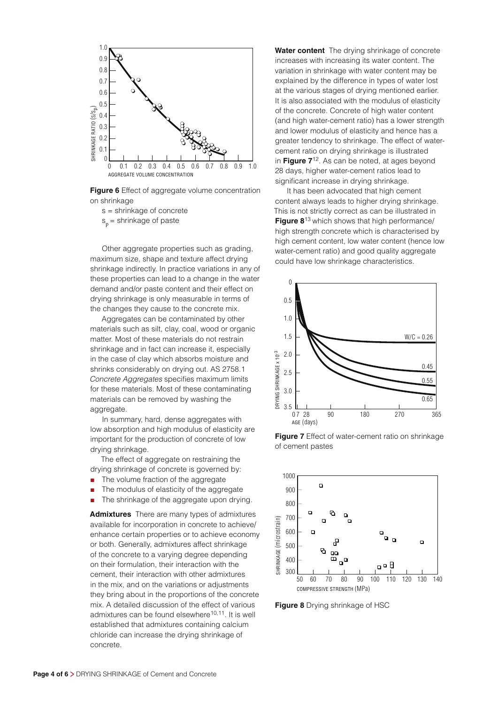

**Figure 6** Effect of aggregate volume concentration on shrinkage

s = shrinkage of concrete  $s_n$  = shrinkage of paste

Other aggregate properties such as grading, maximum size, shape and texture affect drying shrinkage indirectly. In practice variations in any of these properties can lead to a change in the water demand and/or paste content and their effect on drying shrinkage is only measurable in terms of the changes they cause to the concrete mix.

Aggregates can be contaminated by other materials such as silt, clay, coal, wood or organic matter. Most of these materials do not restrain shrinkage and in fact can increase it, especially in the case of clay which absorbs moisture and shrinks considerably on drying out. AS 2758.1 *Concrete Aggregates* specifies maximum limits for these materials. Most of these contaminating materials can be removed by washing the aggregate.

In summary, hard, dense aggregates with low absorption and high modulus of elasticity are important for the production of concrete of low drying shrinkage.

The effect of aggregate on restraining the drying shrinkage of concrete is governed by:

- The volume fraction of the aggregate
- $\blacksquare$  The modulus of elasticity of the aggregate
- $\blacksquare$  The shrinkage of the aggregate upon drying.

**Admixtures** There are many types of admixtures available for incorporation in concrete to achieve/ enhance certain properties or to achieve economy or both. Generally, admixtures affect shrinkage of the concrete to a varying degree depending on their formulation, their interaction with the cement, their interaction with other admixtures in the mix, and on the variations or adjustments they bring about in the proportions of the concrete mix. A detailed discussion of the effect of various admixtures can be found elsewhere<sup>10,11</sup>. It is well established that admixtures containing calcium chloride can increase the drying shrinkage of concrete.

**Water content** The drying shrinkage of concrete increases with increasing its water content. The variation in shrinkage with water content may be explained by the difference in types of water lost at the various stages of drying mentioned earlier. It is also associated with the modulus of elasticity of the concrete. Concrete of high water content (and high water-cement ratio) has a lower strength and lower modulus of elasticity and hence has a greater tendency to shrinkage. The effect of watercement ratio on drying shrinkage is illustrated in **Figure 7**12. As can be noted, at ages beyond 28 days, higher water-cement ratios lead to significant increase in drying shrinkage.

It has been advocated that high cement content always leads to higher drying shrinkage. This is not strictly correct as can be illustrated in **Figure 8**13 which shows that high performance/ high strength concrete which is characterised by high cement content, low water content (hence low water-cement ratio) and good quality aggregate could have low shrinkage characteristics.



**Figure 7** Effect of water-cement ratio on shrinkage of cement pastes



**Figure 8** Drying shrinkage of HSC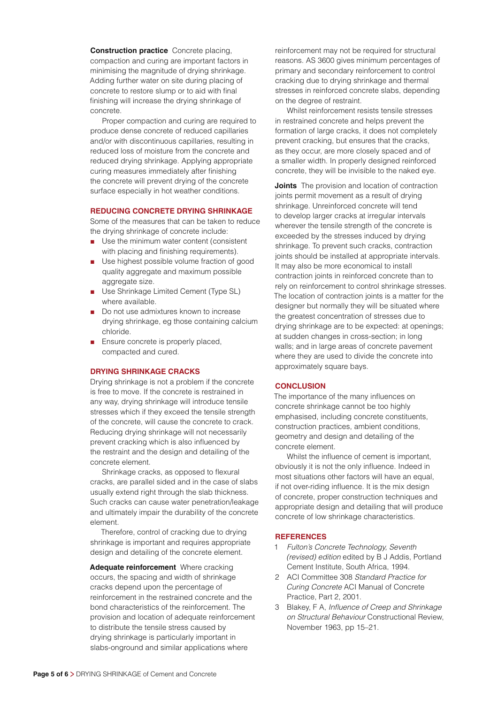**Construction practice** Concrete placing, compaction and curing are important factors in minimising the magnitude of drying shrinkage. Adding further water on site during placing of concrete to restore slump or to aid with final finishing will increase the drying shrinkage of concrete.

Proper compaction and curing are required to produce dense concrete of reduced capillaries and/or with discontinuous capillaries, resulting in reduced loss of moisture from the concrete and reduced drying shrinkage. Applying appropriate curing measures immediately after finishing the concrete will prevent drying of the concrete surface especially in hot weather conditions.

## **reducing concrete drying Shrinkage**

Some of the measures that can be taken to reduce the drying shrinkage of concrete include:

- $\Box$  Use the minimum water content (consistent with placing and finishing requirements).
- Use highest possible volume fraction of good quality aggregate and maximum possible aggregate size.
- Use Shrinkage Limited Cement (Type SL) where available.
- Do not use admixtures known to increase drying shrinkage, eg those containing calcium chloride.
- **n** Ensure concrete is properly placed, compacted and cured.

## **drying Shrinkage crackS**

Drying shrinkage is not a problem if the concrete is free to move. If the concrete is restrained in any way, drying shrinkage will introduce tensile stresses which if they exceed the tensile strength of the concrete, will cause the concrete to crack. Reducing drying shrinkage will not necessarily prevent cracking which is also influenced by the restraint and the design and detailing of the concrete element.

Shrinkage cracks, as opposed to flexural cracks, are parallel sided and in the case of slabs usually extend right through the slab thickness. Such cracks can cause water penetration/leakage and ultimately impair the durability of the concrete element.

Therefore, control of cracking due to drying shrinkage is important and requires appropriate design and detailing of the concrete element.

**Adequate reinforcement** Where cracking occurs, the spacing and width of shrinkage cracks depend upon the percentage of reinforcement in the restrained concrete and the bond characteristics of the reinforcement. The provision and location of adequate reinforcement to distribute the tensile stress caused by drying shrinkage is particularly important in slabs-onground and similar applications where

reinforcement may not be required for structural reasons. AS 3600 gives minimum percentages of primary and secondary reinforcement to control cracking due to drying shrinkage and thermal stresses in reinforced concrete slabs, depending on the degree of restraint.

Whilst reinforcement resists tensile stresses in restrained concrete and helps prevent the formation of large cracks, it does not completely prevent cracking, but ensures that the cracks, as they occur, are more closely spaced and of a smaller width. In properly designed reinforced concrete, they will be invisible to the naked eye.

**Joints** The provision and location of contraction joints permit movement as a result of drying shrinkage. Unreinforced concrete will tend to develop larger cracks at irregular intervals wherever the tensile strength of the concrete is exceeded by the stresses induced by drying shrinkage. To prevent such cracks, contraction joints should be installed at appropriate intervals. It may also be more economical to install contraction joints in reinforced concrete than to rely on reinforcement to control shrinkage stresses. The location of contraction joints is a matter for the designer but normally they will be situated where the greatest concentration of stresses due to drying shrinkage are to be expected: at openings; at sudden changes in cross-section; in long walls; and in large areas of concrete pavement where they are used to divide the concrete into approximately square bays.

#### **concLuSion**

The importance of the many influences on concrete shrinkage cannot be too highly emphasised, including concrete constituents, construction practices, ambient conditions, geometry and design and detailing of the concrete element.

Whilst the influence of cement is important, obviously it is not the only influence. Indeed in most situations other factors will have an equal, if not over-riding influence. It is the mix design of concrete, proper construction techniques and appropriate design and detailing that will produce concrete of low shrinkage characteristics.

## **references**

- 1 *Fulton's Concrete Technology, Seventh (revised) edition* edited by B J Addis, Portland Cement Institute, South Africa, 1994.
- 2 ACI Committee 308 *Standard Practice for Curing Concrete* ACI Manual of Concrete Practice, Part 2, 2001.
- 3 Blakey, F A, *Influence of Creep and Shrinkage on Structural Behaviour* Constructional Review, November 1963, pp 15–21.